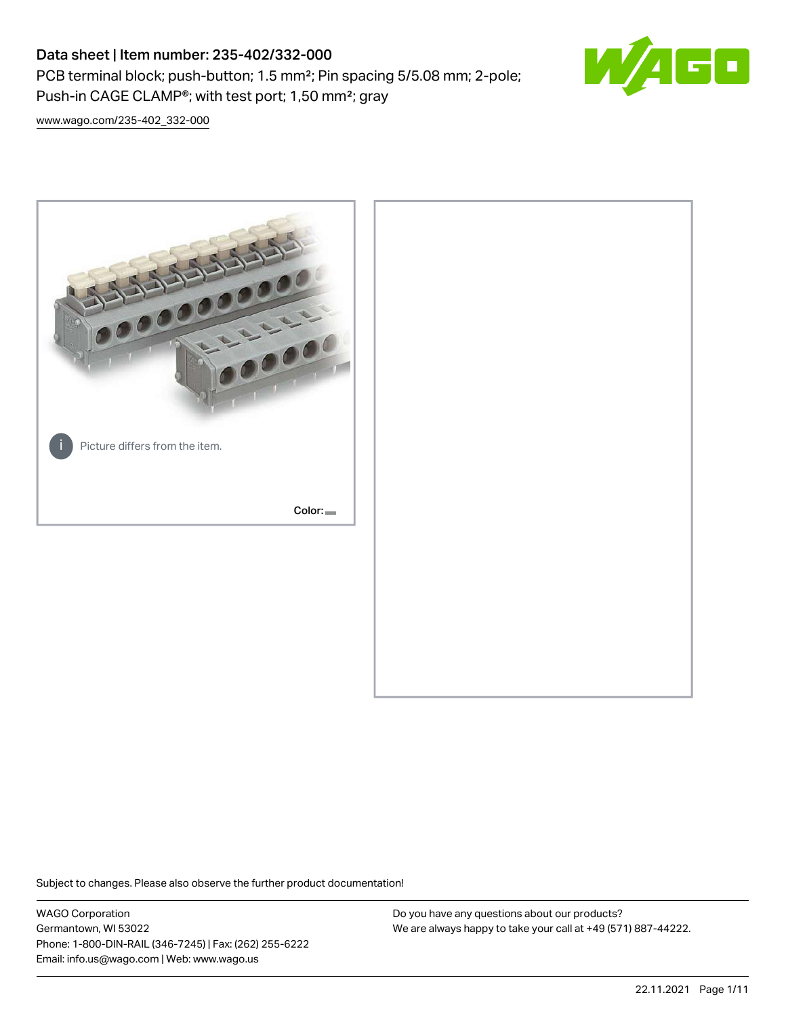PCB terminal block; push-button; 1.5 mm²; Pin spacing 5/5.08 mm; 2-pole; Push-in CAGE CLAMP®; with test port; 1,50 mm²; gray



[www.wago.com/235-402\\_332-000](http://www.wago.com/235-402_332-000)



Subject to changes. Please also observe the further product documentation!

WAGO Corporation Germantown, WI 53022 Phone: 1-800-DIN-RAIL (346-7245) | Fax: (262) 255-6222 Email: info.us@wago.com | Web: www.wago.us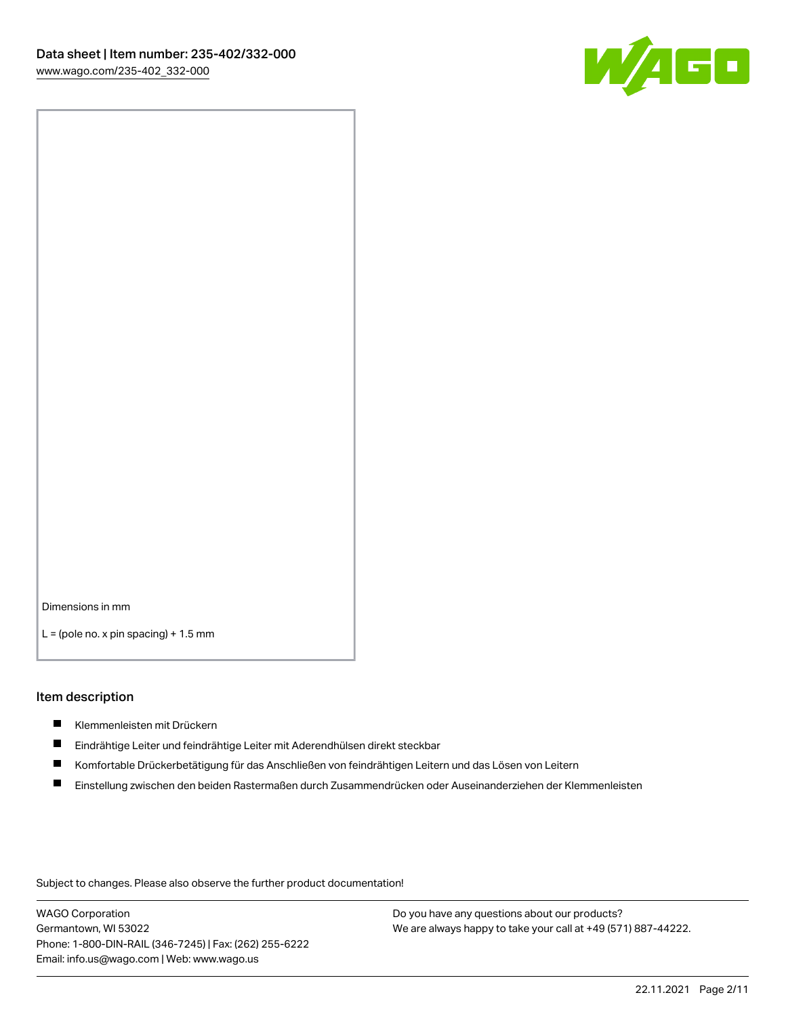

Dimensions in mm

 $L =$  (pole no. x pin spacing) + 1.5 mm

#### Item description

- Klemmenleisten mit Drückern
- $\blacksquare$ Eindrähtige Leiter und feindrähtige Leiter mit Aderendhülsen direkt steckbar
- П Komfortable Drückerbetätigung für das Anschließen von feindrähtigen Leitern und das Lösen von Leitern
- $\blacksquare$ Einstellung zwischen den beiden Rastermaßen durch Zusammendrücken oder Auseinanderziehen der Klemmenleisten

Subject to changes. Please also observe the further product documentation!

WAGO Corporation Germantown, WI 53022 Phone: 1-800-DIN-RAIL (346-7245) | Fax: (262) 255-6222 Email: info.us@wago.com | Web: www.wago.us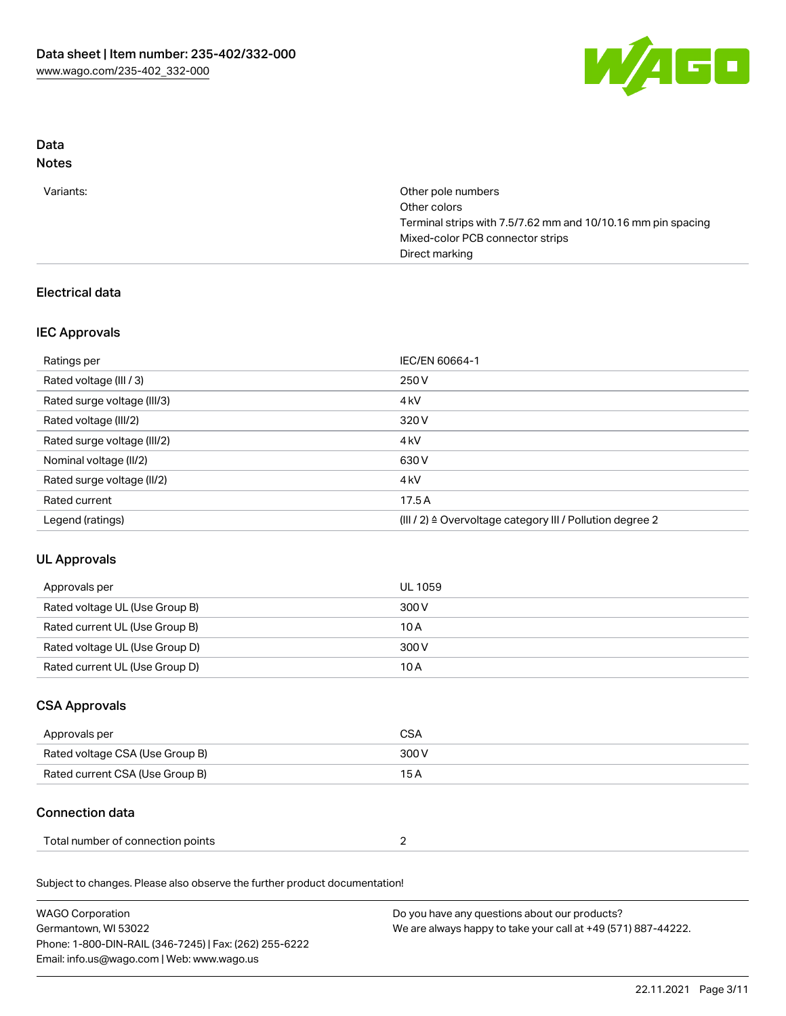

# Data

# Notes

| Variants: | Other pole numbers                                           |
|-----------|--------------------------------------------------------------|
|           | Other colors                                                 |
|           | Terminal strips with 7.5/7.62 mm and 10/10.16 mm pin spacing |
|           | Mixed-color PCB connector strips                             |
|           | Direct marking                                               |

# Electrical data

# IEC Approvals

| Ratings per                 | IEC/EN 60664-1                                            |
|-----------------------------|-----------------------------------------------------------|
| Rated voltage (III / 3)     | 250 V                                                     |
| Rated surge voltage (III/3) | 4 <sub>k</sub> V                                          |
| Rated voltage (III/2)       | 320 V                                                     |
| Rated surge voltage (III/2) | 4 <sub>k</sub> V                                          |
| Nominal voltage (II/2)      | 630 V                                                     |
| Rated surge voltage (II/2)  | 4 <sub>k</sub> V                                          |
| Rated current               | 17.5A                                                     |
| Legend (ratings)            | (III / 2) ≙ Overvoltage category III / Pollution degree 2 |

# UL Approvals

| Approvals per                  | UL 1059 |
|--------------------------------|---------|
| Rated voltage UL (Use Group B) | 300 V   |
| Rated current UL (Use Group B) | 10A     |
| Rated voltage UL (Use Group D) | 300 V   |
| Rated current UL (Use Group D) | 10 A    |

# CSA Approvals

| Approvals per                   | CSA   |
|---------------------------------|-------|
| Rated voltage CSA (Use Group B) | 300 V |
| Rated current CSA (Use Group B) | 15 A  |

# Connection data

| Total number of connection points |  |  |
|-----------------------------------|--|--|
|-----------------------------------|--|--|

Subject to changes. Please also observe the further product documentation!

| <b>WAGO Corporation</b>                                | Do you have any questions about our products?                 |
|--------------------------------------------------------|---------------------------------------------------------------|
| Germantown, WI 53022                                   | We are always happy to take your call at +49 (571) 887-44222. |
| Phone: 1-800-DIN-RAIL (346-7245)   Fax: (262) 255-6222 |                                                               |
| Email: info.us@wago.com   Web: www.wago.us             |                                                               |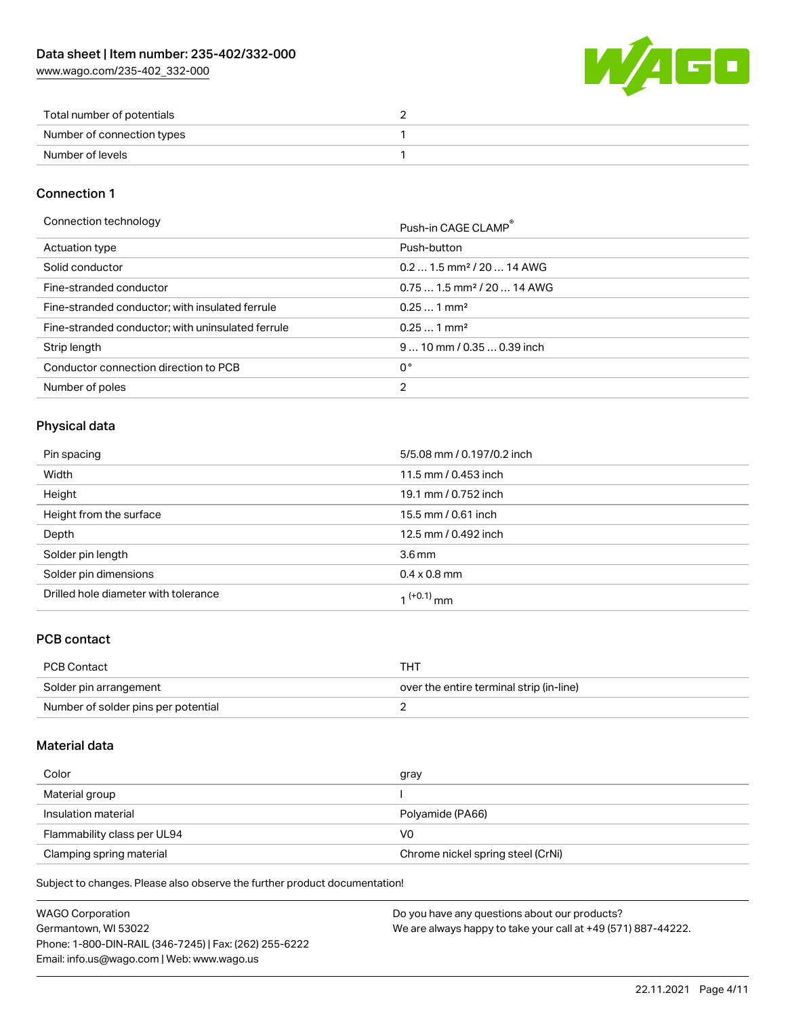[www.wago.com/235-402\\_332-000](http://www.wago.com/235-402_332-000)



| Total number of potentials |  |
|----------------------------|--|
| Number of connection types |  |
| Number of levels           |  |

## Connection 1

| Connection technology |
|-----------------------|
|-----------------------|

| Connection technology                             | Push-in CAGE CLAMP®                    |
|---------------------------------------------------|----------------------------------------|
| Actuation type                                    | Push-button                            |
| Solid conductor                                   | $0.21.5$ mm <sup>2</sup> / 20  14 AWG  |
| Fine-stranded conductor                           | $0.751.5$ mm <sup>2</sup> / 20  14 AWG |
| Fine-stranded conductor; with insulated ferrule   | $0.251$ mm <sup>2</sup>                |
| Fine-stranded conductor; with uninsulated ferrule | $0.251$ mm <sup>2</sup>                |
| Strip length                                      | $910$ mm $/0.350.39$ inch              |
| Conductor connection direction to PCB             | 0°                                     |
| Number of poles                                   | 2                                      |

# Physical data

| Pin spacing                          | 5/5.08 mm / 0.197/0.2 inch |
|--------------------------------------|----------------------------|
| Width                                | 11.5 mm / 0.453 inch       |
| Height                               | 19.1 mm / 0.752 inch       |
| Height from the surface              | 15.5 mm / 0.61 inch        |
| Depth                                | 12.5 mm / 0.492 inch       |
| Solder pin length                    | $3.6 \,\mathrm{mm}$        |
| Solder pin dimensions                | $0.4 \times 0.8$ mm        |
| Drilled hole diameter with tolerance | $(1 + 0.1)$ mm             |

# PCB contact

| PCB Contact                         | THT                                      |
|-------------------------------------|------------------------------------------|
| Solder pin arrangement              | over the entire terminal strip (in-line) |
| Number of solder pins per potential |                                          |

### Material data

| Color                       | gray                              |
|-----------------------------|-----------------------------------|
| Material group              |                                   |
| Insulation material         | Polyamide (PA66)                  |
| Flammability class per UL94 | V0                                |
| Clamping spring material    | Chrome nickel spring steel (CrNi) |

Subject to changes. Please also observe the further product documentation!

| <b>WAGO Corporation</b>                                | Do you have any questions about our products?                 |
|--------------------------------------------------------|---------------------------------------------------------------|
| Germantown, WI 53022                                   | We are always happy to take your call at +49 (571) 887-44222. |
| Phone: 1-800-DIN-RAIL (346-7245)   Fax: (262) 255-6222 |                                                               |
| Email: info.us@wago.com   Web: www.wago.us             |                                                               |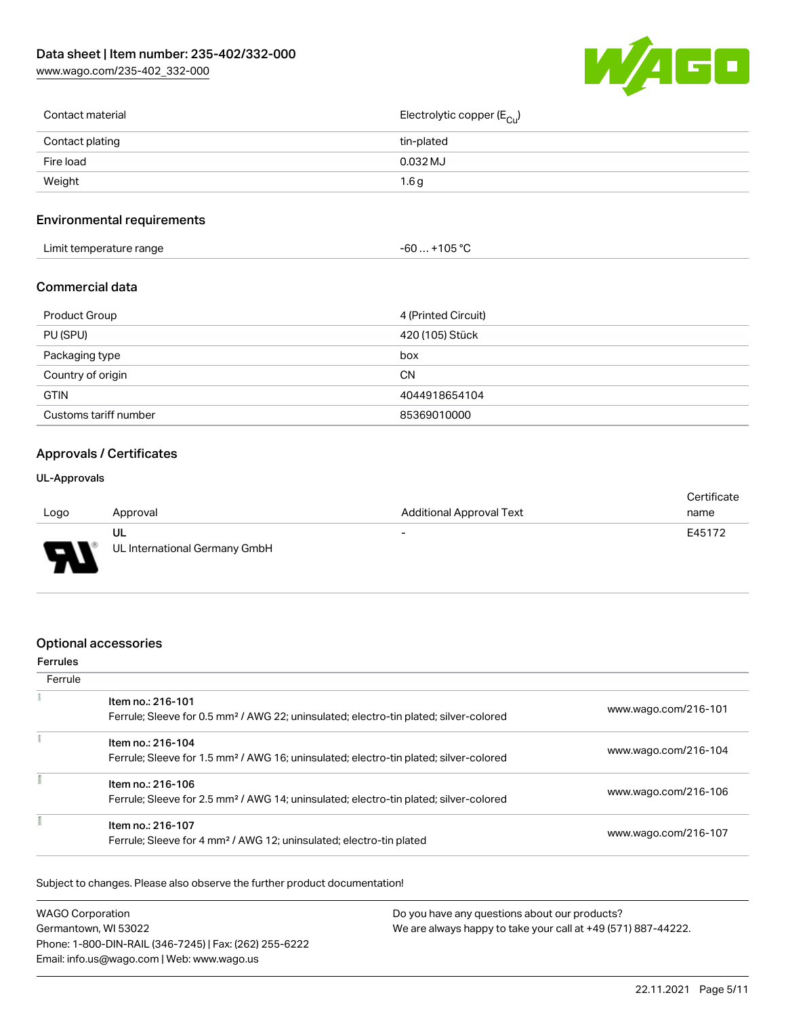[www.wago.com/235-402\\_332-000](http://www.wago.com/235-402_332-000)



| Contact material | Electrolytic copper (E <sub>Cu</sub> ) |
|------------------|----------------------------------------|
| Contact plating  | tin-plated                             |
| Fire load        | 0.032 MJ                               |
| Weight           | 1.6g                                   |
|                  |                                        |

## Environmental requirements

| .<br>Limit temperature range<br>and the contract of the contract of the contract of the contract of the contract of the contract of the contract of the contract of the contract of the contract of the contract of the contract of the contract of the contra | ∩¤ ∘∩<br>-60<br>ں ں |  |
|----------------------------------------------------------------------------------------------------------------------------------------------------------------------------------------------------------------------------------------------------------------|---------------------|--|
|----------------------------------------------------------------------------------------------------------------------------------------------------------------------------------------------------------------------------------------------------------------|---------------------|--|

#### Commercial data

| Product Group         | 4 (Printed Circuit) |
|-----------------------|---------------------|
| PU (SPU)              | 420 (105) Stück     |
| Packaging type        | box                 |
| Country of origin     | CΝ                  |
| <b>GTIN</b>           | 4044918654104       |
| Customs tariff number | 85369010000         |

## Approvals / Certificates

#### UL-Approvals

|      |                               |                                 | Certificate |
|------|-------------------------------|---------------------------------|-------------|
| Logo | Approval                      | <b>Additional Approval Text</b> | name        |
|      | UL                            | $\overline{\phantom{0}}$        | E45172      |
| J    | UL International Germany GmbH |                                 |             |

#### Optional accessories

## Ferrules **Ferrule**  $\overline{1}$ Item no.: 216-101 Ferrule; Sleeve for 0.5 mm² / AWG 22; uninsulated; electro-tin plated; silver-colored [www.wago.com/216-101](http://www.wago.com/216-101)  $\frac{1}{2}$ Item no.: 216-104 Ferrule; Sleeve for 1.5 mm² / AWG 16; uninsulated; electro-tin plated; silver-colored [www.wago.com/216-104](http://www.wago.com/216-104) Item no.: 216-106

| ltem no.: 216-106<br>Ferrule; Sleeve for 2.5 mm <sup>2</sup> / AWG 14; uninsulated; electro-tin plated; silver-colored | www.wago.com/216-106 |
|------------------------------------------------------------------------------------------------------------------------|----------------------|
| Item no.: 216-107<br>Ferrule; Sleeve for 4 mm <sup>2</sup> / AWG 12; uninsulated; electro-tin plated                   | www.wago.com/216-107 |

Subject to changes. Please also observe the further product documentation!

| <b>WAGO Corporation</b>                                | Do you have any questions about our products?                 |
|--------------------------------------------------------|---------------------------------------------------------------|
| Germantown, WI 53022                                   | We are always happy to take your call at +49 (571) 887-44222. |
| Phone: 1-800-DIN-RAIL (346-7245)   Fax: (262) 255-6222 |                                                               |
| Email: info.us@wago.com   Web: www.wago.us             |                                                               |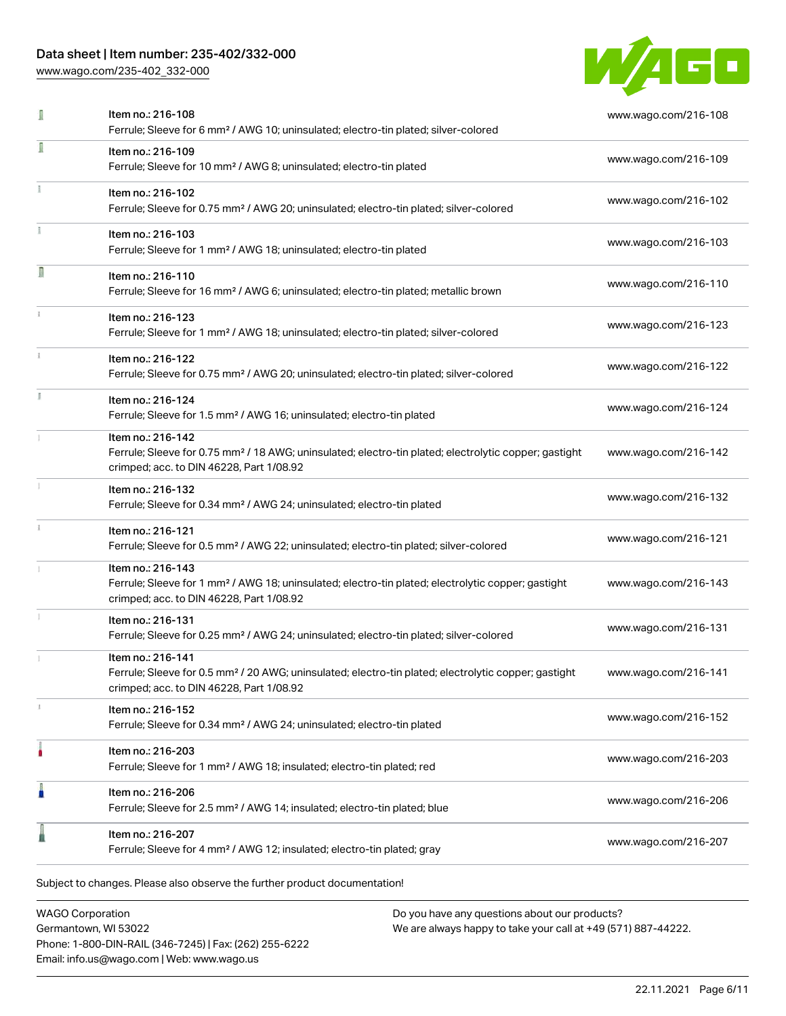[www.wago.com/235-402\\_332-000](http://www.wago.com/235-402_332-000)



| I | Item no.: 216-108<br>Ferrule; Sleeve for 6 mm <sup>2</sup> / AWG 10; uninsulated; electro-tin plated; silver-colored                                                               | www.wago.com/216-108 |
|---|------------------------------------------------------------------------------------------------------------------------------------------------------------------------------------|----------------------|
| I | Item no.: 216-109<br>Ferrule; Sleeve for 10 mm <sup>2</sup> / AWG 8; uninsulated; electro-tin plated                                                                               | www.wago.com/216-109 |
|   | Item no.: 216-102<br>Ferrule; Sleeve for 0.75 mm <sup>2</sup> / AWG 20; uninsulated; electro-tin plated; silver-colored                                                            | www.wago.com/216-102 |
|   | Item no.: 216-103<br>Ferrule; Sleeve for 1 mm <sup>2</sup> / AWG 18; uninsulated; electro-tin plated                                                                               | www.wago.com/216-103 |
| Π | Item no.: 216-110<br>Ferrule; Sleeve for 16 mm <sup>2</sup> / AWG 6; uninsulated; electro-tin plated; metallic brown                                                               | www.wago.com/216-110 |
|   | Item no.: 216-123<br>Ferrule; Sleeve for 1 mm <sup>2</sup> / AWG 18; uninsulated; electro-tin plated; silver-colored                                                               | www.wago.com/216-123 |
|   | Item no.: 216-122<br>Ferrule; Sleeve for 0.75 mm <sup>2</sup> / AWG 20; uninsulated; electro-tin plated; silver-colored                                                            | www.wago.com/216-122 |
|   | Item no.: 216-124<br>Ferrule; Sleeve for 1.5 mm <sup>2</sup> / AWG 16; uninsulated; electro-tin plated                                                                             | www.wago.com/216-124 |
|   | Item no.: 216-142<br>Ferrule; Sleeve for 0.75 mm <sup>2</sup> / 18 AWG; uninsulated; electro-tin plated; electrolytic copper; gastight<br>crimped; acc. to DIN 46228, Part 1/08.92 | www.wago.com/216-142 |
|   | Item no.: 216-132<br>Ferrule; Sleeve for 0.34 mm <sup>2</sup> / AWG 24; uninsulated; electro-tin plated                                                                            | www.wago.com/216-132 |
|   | Item no.: 216-121<br>Ferrule; Sleeve for 0.5 mm <sup>2</sup> / AWG 22; uninsulated; electro-tin plated; silver-colored                                                             | www.wago.com/216-121 |
|   | Item no.: 216-143<br>Ferrule; Sleeve for 1 mm <sup>2</sup> / AWG 18; uninsulated; electro-tin plated; electrolytic copper; gastight<br>crimped; acc. to DIN 46228, Part 1/08.92    | www.wago.com/216-143 |
|   | Item no.: 216-131<br>Ferrule; Sleeve for 0.25 mm <sup>2</sup> / AWG 24; uninsulated; electro-tin plated; silver-colored                                                            | www.wago.com/216-131 |
|   | Item no.: 216-141<br>Ferrule; Sleeve for 0.5 mm <sup>2</sup> / 20 AWG; uninsulated; electro-tin plated; electrolytic copper; gastight<br>crimped; acc. to DIN 46228, Part 1/08.92  | www.wago.com/216-141 |
|   | Item no.: 216-152<br>Ferrule; Sleeve for 0.34 mm <sup>2</sup> / AWG 24; uninsulated; electro-tin plated                                                                            | www.wago.com/216-152 |
|   | Item no.: 216-203<br>Ferrule; Sleeve for 1 mm <sup>2</sup> / AWG 18; insulated; electro-tin plated; red                                                                            | www.wago.com/216-203 |
| I | Item no.: 216-206<br>Ferrule; Sleeve for 2.5 mm <sup>2</sup> / AWG 14; insulated; electro-tin plated; blue                                                                         | www.wago.com/216-206 |
|   | Item no.: 216-207<br>Ferrule; Sleeve for 4 mm <sup>2</sup> / AWG 12; insulated; electro-tin plated; gray                                                                           | www.wago.com/216-207 |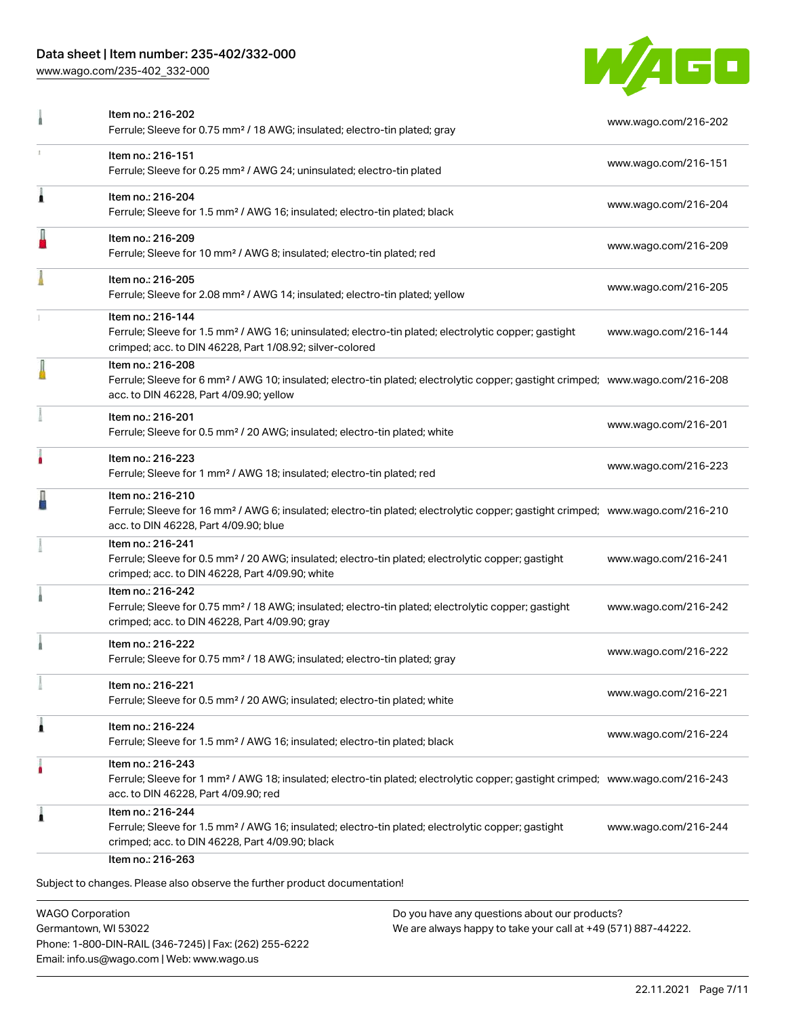[www.wago.com/235-402\\_332-000](http://www.wago.com/235-402_332-000)



| Item no.: 216-151                                                                                                                                                                                          |                      |
|------------------------------------------------------------------------------------------------------------------------------------------------------------------------------------------------------------|----------------------|
| Ferrule; Sleeve for 0.25 mm <sup>2</sup> / AWG 24; uninsulated; electro-tin plated                                                                                                                         | www.wago.com/216-151 |
| Item no.: 216-204<br>Ferrule; Sleeve for 1.5 mm <sup>2</sup> / AWG 16; insulated; electro-tin plated; black                                                                                                | www.wago.com/216-204 |
| Item no.: 216-209<br>Ferrule; Sleeve for 10 mm <sup>2</sup> / AWG 8; insulated; electro-tin plated; red                                                                                                    | www.wago.com/216-209 |
| Item no.: 216-205<br>Ferrule; Sleeve for 2.08 mm <sup>2</sup> / AWG 14; insulated; electro-tin plated; yellow                                                                                              | www.wago.com/216-205 |
| Item no.: 216-144<br>Ferrule; Sleeve for 1.5 mm <sup>2</sup> / AWG 16; uninsulated; electro-tin plated; electrolytic copper; gastight<br>crimped; acc. to DIN 46228, Part 1/08.92; silver-colored          | www.wago.com/216-144 |
| Item no.: 216-208<br>Ferrule; Sleeve for 6 mm <sup>2</sup> / AWG 10; insulated; electro-tin plated; electrolytic copper; gastight crimped; www.wago.com/216-208<br>acc. to DIN 46228, Part 4/09.90; yellow |                      |
| Item no.: 216-201<br>Ferrule; Sleeve for 0.5 mm <sup>2</sup> / 20 AWG; insulated; electro-tin plated; white                                                                                                | www.wago.com/216-201 |
| Item no.: 216-223<br>Ferrule; Sleeve for 1 mm <sup>2</sup> / AWG 18; insulated; electro-tin plated; red                                                                                                    | www.wago.com/216-223 |
| Item no.: 216-210<br>Ferrule; Sleeve for 16 mm <sup>2</sup> / AWG 6; insulated; electro-tin plated; electrolytic copper; gastight crimped; www.wago.com/216-210<br>acc. to DIN 46228, Part 4/09.90; blue   |                      |
| Item no.: 216-241<br>Ferrule; Sleeve for 0.5 mm <sup>2</sup> / 20 AWG; insulated; electro-tin plated; electrolytic copper; gastight<br>crimped; acc. to DIN 46228, Part 4/09.90; white                     | www.wago.com/216-241 |
| Item no.: 216-242<br>Ferrule; Sleeve for 0.75 mm <sup>2</sup> / 18 AWG; insulated; electro-tin plated; electrolytic copper; gastight<br>crimped; acc. to DIN 46228, Part 4/09.90; gray                     | www.wago.com/216-242 |
| Item no.: 216-222<br>Ferrule; Sleeve for 0.75 mm <sup>2</sup> / 18 AWG; insulated; electro-tin plated; gray                                                                                                | www.wago.com/216-222 |
| ltem no.: 216-221<br>Ferrule; Sleeve for 0.5 mm <sup>2</sup> / 20 AWG; insulated; electro-tin plated; white                                                                                                | www.wago.com/216-221 |
| Item no.: 216-224<br>Ferrule; Sleeve for 1.5 mm <sup>2</sup> / AWG 16; insulated; electro-tin plated; black                                                                                                | www.wago.com/216-224 |
| Item no.: 216-243<br>Ferrule; Sleeve for 1 mm <sup>2</sup> / AWG 18; insulated; electro-tin plated; electrolytic copper; gastight crimped; www.wago.com/216-243<br>acc. to DIN 46228, Part 4/09.90; red    |                      |
| Item no.: 216-244<br>Ferrule; Sleeve for 1.5 mm <sup>2</sup> / AWG 16; insulated; electro-tin plated; electrolytic copper; gastight<br>crimped; acc. to DIN 46228, Part 4/09.90; black                     | www.wago.com/216-244 |
|                                                                                                                                                                                                            | Item no.: 216-263    |

WAGO Corporation Germantown, WI 53022 Phone: 1-800-DIN-RAIL (346-7245) | Fax: (262) 255-6222 Email: info.us@wago.com | Web: www.wago.us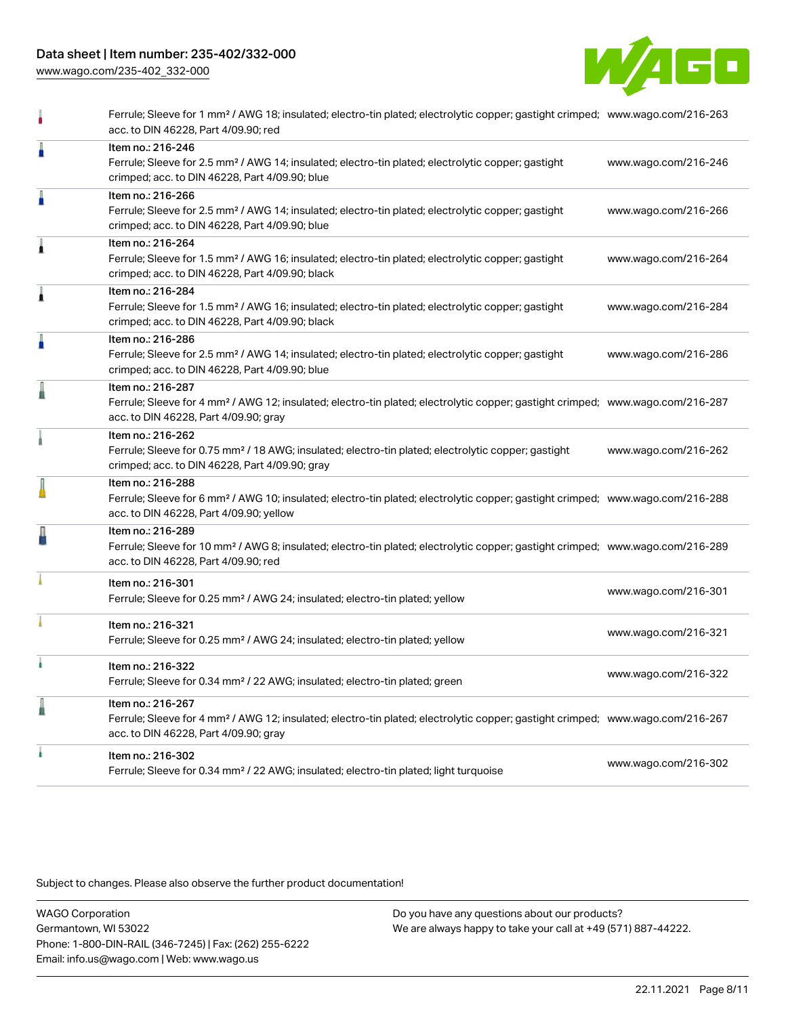[www.wago.com/235-402\\_332-000](http://www.wago.com/235-402_332-000)



|   | Ferrule; Sleeve for 1 mm <sup>2</sup> / AWG 18; insulated; electro-tin plated; electrolytic copper; gastight crimped; www.wago.com/216-263<br>acc. to DIN 46228, Part 4/09.90; red                         |                      |
|---|------------------------------------------------------------------------------------------------------------------------------------------------------------------------------------------------------------|----------------------|
| Å | Item no.: 216-246<br>Ferrule; Sleeve for 2.5 mm <sup>2</sup> / AWG 14; insulated; electro-tin plated; electrolytic copper; gastight<br>crimped; acc. to DIN 46228, Part 4/09.90; blue                      | www.wago.com/216-246 |
| Å | Item no.: 216-266<br>Ferrule; Sleeve for 2.5 mm <sup>2</sup> / AWG 14; insulated; electro-tin plated; electrolytic copper; gastight<br>crimped; acc. to DIN 46228, Part 4/09.90; blue                      | www.wago.com/216-266 |
| Â | Item no.: 216-264<br>Ferrule; Sleeve for 1.5 mm <sup>2</sup> / AWG 16; insulated; electro-tin plated; electrolytic copper; gastight<br>crimped; acc. to DIN 46228, Part 4/09.90; black                     | www.wago.com/216-264 |
| Â | Item no.: 216-284<br>Ferrule; Sleeve for 1.5 mm <sup>2</sup> / AWG 16; insulated; electro-tin plated; electrolytic copper; gastight<br>crimped; acc. to DIN 46228, Part 4/09.90; black                     | www.wago.com/216-284 |
| I | Item no.: 216-286<br>Ferrule; Sleeve for 2.5 mm <sup>2</sup> / AWG 14; insulated; electro-tin plated; electrolytic copper; gastight<br>crimped; acc. to DIN 46228, Part 4/09.90; blue                      | www.wago.com/216-286 |
| I | Item no.: 216-287<br>Ferrule; Sleeve for 4 mm <sup>2</sup> / AWG 12; insulated; electro-tin plated; electrolytic copper; gastight crimped; www.wago.com/216-287<br>acc. to DIN 46228, Part 4/09.90; gray   |                      |
|   | Item no.: 216-262<br>Ferrule; Sleeve for 0.75 mm <sup>2</sup> / 18 AWG; insulated; electro-tin plated; electrolytic copper; gastight<br>crimped; acc. to DIN 46228, Part 4/09.90; gray                     | www.wago.com/216-262 |
|   | Item no.: 216-288<br>Ferrule; Sleeve for 6 mm <sup>2</sup> / AWG 10; insulated; electro-tin plated; electrolytic copper; gastight crimped; www.wago.com/216-288<br>acc. to DIN 46228, Part 4/09.90; yellow |                      |
| ł | Item no.: 216-289<br>Ferrule; Sleeve for 10 mm <sup>2</sup> / AWG 8; insulated; electro-tin plated; electrolytic copper; gastight crimped; www.wago.com/216-289<br>acc. to DIN 46228, Part 4/09.90; red    |                      |
|   | Item no.: 216-301<br>Ferrule; Sleeve for 0.25 mm <sup>2</sup> / AWG 24; insulated; electro-tin plated; yellow                                                                                              | www.wago.com/216-301 |
|   | Item no.: 216-321<br>Ferrule; Sleeve for 0.25 mm <sup>2</sup> / AWG 24; insulated; electro-tin plated; yellow                                                                                              | www.wago.com/216-321 |
|   | Item no.: 216-322<br>Ferrule; Sleeve for 0.34 mm <sup>2</sup> / 22 AWG; insulated; electro-tin plated; green                                                                                               | www.wago.com/216-322 |
| l | Item no.: 216-267<br>Ferrule; Sleeve for 4 mm <sup>2</sup> / AWG 12; insulated; electro-tin plated; electrolytic copper; gastight crimped; www.wago.com/216-267<br>acc. to DIN 46228, Part 4/09.90; gray   |                      |
|   | Item no.: 216-302<br>Ferrule; Sleeve for 0.34 mm <sup>2</sup> / 22 AWG; insulated; electro-tin plated; light turquoise                                                                                     | www.wago.com/216-302 |
|   |                                                                                                                                                                                                            |                      |

Subject to changes. Please also observe the further product documentation!

WAGO Corporation Germantown, WI 53022 Phone: 1-800-DIN-RAIL (346-7245) | Fax: (262) 255-6222 Email: info.us@wago.com | Web: www.wago.us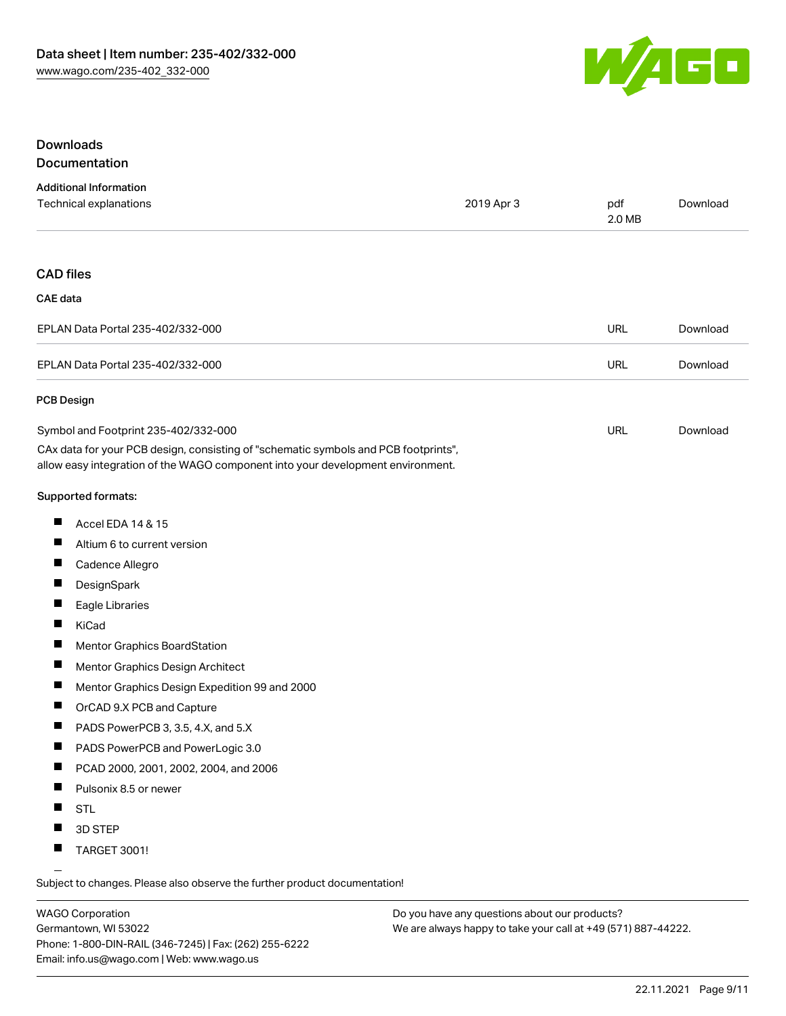

## Downloads Documentation

| <b>Additional Information</b>                                                       |            |               |          |
|-------------------------------------------------------------------------------------|------------|---------------|----------|
| Technical explanations                                                              | 2019 Apr 3 | pdf<br>2.0 MB | Download |
|                                                                                     |            |               |          |
| <b>CAD files</b>                                                                    |            |               |          |
| <b>CAE</b> data                                                                     |            |               |          |
| EPLAN Data Portal 235-402/332-000                                                   |            | <b>URL</b>    | Download |
| EPLAN Data Portal 235-402/332-000                                                   |            | <b>URL</b>    | Download |
| <b>PCB Design</b>                                                                   |            |               |          |
| Symbol and Footprint 235-402/332-000                                                |            | <b>URL</b>    | Download |
| CAx data for your PCB design, consisting of "schematic symbols and PCB footprints", |            |               |          |
| allow easy integration of the WAGO component into your development environment.     |            |               |          |
| <b>Supported formats:</b>                                                           |            |               |          |
| <b>The State</b><br>Accel EDA 14 & 15                                               |            |               |          |

- $\blacksquare$ Altium 6 to current version
- $\blacksquare$ Cadence Allegro
- $\blacksquare$ **DesignSpark**
- $\blacksquare$ Eagle Libraries
- $\blacksquare$ KiCad
- $\blacksquare$ Mentor Graphics BoardStation
- $\blacksquare$ Mentor Graphics Design Architect
- $\blacksquare$ Mentor Graphics Design Expedition 99 and 2000
- $\blacksquare$ OrCAD 9.X PCB and Capture
- $\blacksquare$ PADS PowerPCB 3, 3.5, 4.X, and 5.X
- $\blacksquare$ PADS PowerPCB and PowerLogic 3.0
- $\blacksquare$ PCAD 2000, 2001, 2002, 2004, and 2006
- $\blacksquare$ Pulsonix 8.5 or newer
- $\blacksquare$ STL
- $\blacksquare$ 3D STEP
- $\blacksquare$ TARGET 3001!

Subject to changes. Please also observe the further product documentation!

WAGO Corporation Germantown, WI 53022 Phone: 1-800-DIN-RAIL (346-7245) | Fax: (262) 255-6222 Email: info.us@wago.com | Web: www.wago.us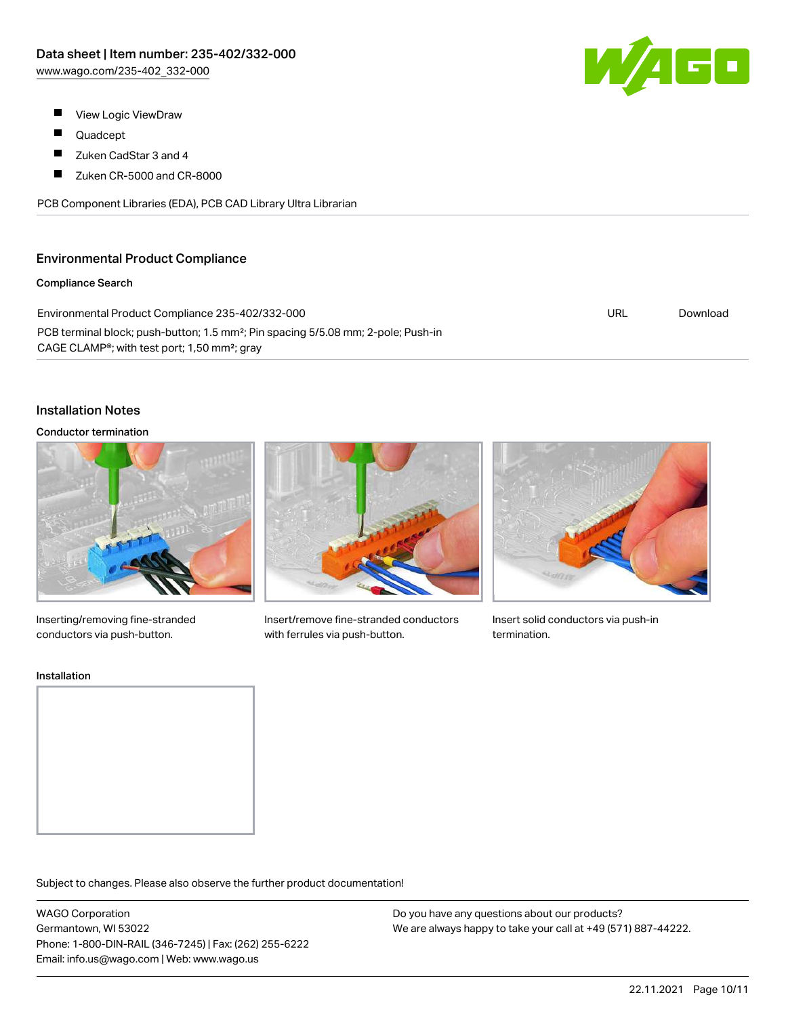W/AGO

- $\blacksquare$ View Logic ViewDraw
- П Quadcept
- $\blacksquare$ Zuken CadStar 3 and 4
- $\blacksquare$ Zuken CR-5000 and CR-8000

PCB Component Libraries (EDA), PCB CAD Library Ultra Librarian

## Environmental Product Compliance

#### Compliance Search

| Environmental Product Compliance 235-402/332-000                                              | URL | Download |
|-----------------------------------------------------------------------------------------------|-----|----------|
| PCB terminal block; push-button; 1.5 mm <sup>2</sup> ; Pin spacing 5/5.08 mm; 2-pole; Push-in |     |          |
| CAGE CLAMP <sup>®</sup> ; with test port; 1,50 mm <sup>2</sup> ; gray                         |     |          |

## Installation Notes

#### Conductor termination



Inserting/removing fine-stranded conductors via push-button.



Insert/remove fine-stranded conductors with ferrules via push-button.



Insert solid conductors via push-in termination.

#### Installation



Subject to changes. Please also observe the further product documentation!

WAGO Corporation Germantown, WI 53022 Phone: 1-800-DIN-RAIL (346-7245) | Fax: (262) 255-6222 Email: info.us@wago.com | Web: www.wago.us